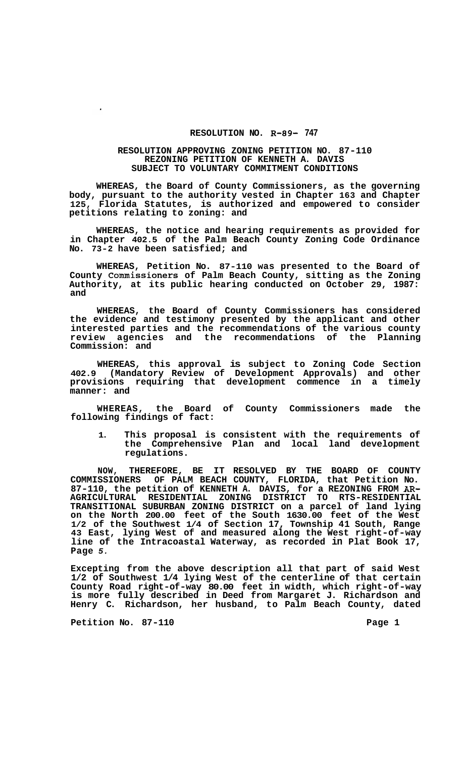## **RESOLUTION NO. R-89- 747**

## **RESOLUTION APPROVING ZONING PETITION NO. 87-110 REZONING PETITION OF KENNETH A. DAVIS SUBJECT TO VOLUNTARY COMMITMENT CONDITIONS**

**WHEREAS, the Board of County Commissioners, as the governing body, pursuant to the authority vested in Chapter 163 and Chapter 125, Florida Statutes, is authorized and empowered to consider petitions relating to zoning: and** 

**WHEREAS, the notice and hearing requirements as provided for in Chapter 402.5 of the Palm Beach County Zoning Code Ordinance No. 73-2 have been satisfied; and** 

**WHEREAS, Petition No. 87-110 was presented to the Board of County Commissioners of Palm Beach County, sitting as the Zoning Authority, at its public hearing conducted on October 29, 1987: and** 

**WHEREAS, the Board of County Commissioners has considered the evidence and testimony presented by the applicant and other interested parties and the recommendations of the various county review agencies and the recommendations of the Planning Commission: and** 

**WHEREAS, this approval is subject to Zoning Code Section 402.9 (Mandatory Review of Development Approvals) and other provisions requiring that development commence in a timely manner: and** 

**WHEREAS, the Board of County Commissioners made the following findings of fact:** 

**1. This proposal is consistent with the requirements of the Comprehensive Plan and local land development regulations.** 

**NOW, THEREFORE, BE IT RESOLVED BY THE BOARD OF COUNTY COMMISSIONERS OF PALM BEACH COUNTY, FLORIDA, that Petition No. 87-110, the petition of KENNETH A. DAVIS, for a REZONING FROM** *AR-***TRANSITIONAL SUBURBAN ZONING DISTRICT on a parcel of land lying on the North 200.00 feet of the South 1630.00 feet of the West 1/2 of the Southwest 1/4 of Section 17, Township 41 South, Range 43 East, lying West of and measured along the West right-of-way line of the Intracoastal Waterway, as recorded in Plat Book 17, Page** *5.*  **AGRICULTURAL RESIDENTIAL ZONING DISTRICT TO RTS-RESIDENTIAL** 

**Excepting from the above description all that part of said West 1/2 of Southwest 1/4 lying West of the centerline of that certain County Road right-of-way 80.00 feet in width, which right-of-way is more fully described in Deed from Margaret J. Richardson and Henry C. Richardson, her husband, to Palm Beach County, dated** 

**Petition No. 87-110 Page 1** 

 $\ddot{\phantom{0}}$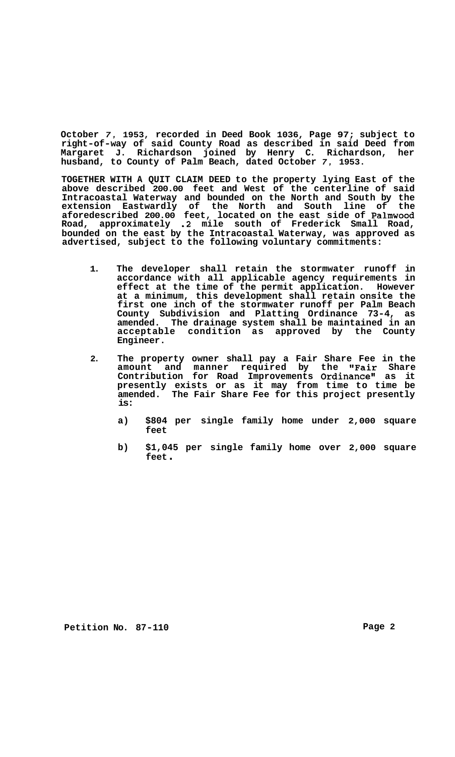**October** *7,* **1953, recorded in Deed Book 1036, Page 97; subject to right-of-way of said County Road as described in said Deed from Margaret J. Richardson joined by Henry C. Richardson, her husband, to County of Palm Beach, dated October** *7,* **1953.** 

**TOGETHER WITH A QUIT CLAIM DEED to the property lying East of the above described 200.00 feet and West of the centerline of said Intracoastal Waterway and bounded on the North and South by the extension Eastwardly of the North and South line of the aforedescribed 200.00 feet, located on the east side of Palmwood Road, approximately .2 mile south of Frederick Small Road, bounded on the east by the Intracoastal Waterway, was approved as advertised, subject to the following voluntary commitments:** 

- **1. The developer shall retain the stormwater runoff in accordance with all applicable agency requirements in effect at the time of the permit application. However at a minimum, this development shall retain onsite the first one inch of the stormwater runoff per Palm Beach County Subdivision and Platting Ordinance 73-4, as amended. The drainage system shall be maintained in an acceptable condition as approved by the County Engineer.**
- **2. The property owner shall pay a Fair Share Fee in the amount and manner required by the "Fair Share**  Contribution for Road Improvements Ordinance" as it **presently exists or as it may from time to time be amended. The Fair Share Fee for this project presently is:** 
	- **a) \$804 per single family home under 2,000 square feet**
	- **b) \$1,045 per single family home over 2,000 square feet** .